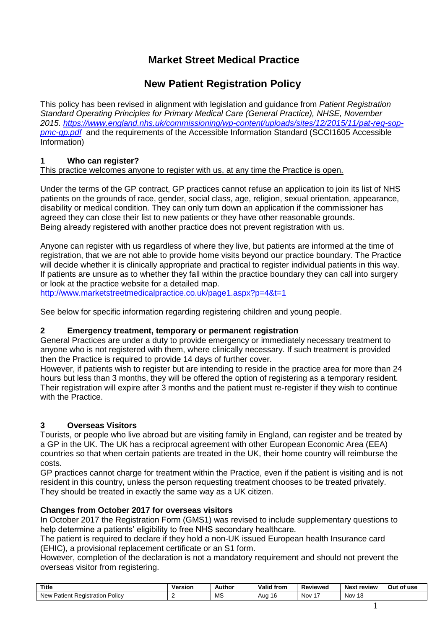# **Market Street Medical Practice**

# **New Patient Registration Policy**

This policy has been revised in alignment with legislation and guidance from *Patient Registration Standard Operating Principles for Primary Medical Care (General Practice), NHSE, November 2015. [https://www.england.nhs.uk/commissioning/wp-content/uploads/sites/12/2015/11/pat-reg-sop](https://www.england.nhs.uk/commissioning/wp-content/uploads/sites/12/2015/11/pat-reg-sop-pmc-gp.pdf)[pmc-gp.pdf](https://www.england.nhs.uk/commissioning/wp-content/uploads/sites/12/2015/11/pat-reg-sop-pmc-gp.pdf)* and the requirements of the Accessible Information Standard (SCCI1605 Accessible Information)

## **1 Who can register?**

This practice welcomes anyone to register with us, at any time the Practice is open.

Under the terms of the GP contract, GP practices cannot refuse an application to join its list of NHS patients on the grounds of race, gender, social class, age, religion, sexual orientation, appearance, disability or medical condition. They can only turn down an application if the commissioner has agreed they can close their list to new patients or they have other reasonable grounds. Being already registered with another practice does not prevent registration with us.

Anyone can register with us regardless of where they live, but patients are informed at the time of registration, that we are not able to provide home visits beyond our practice boundary. The Practice will decide whether it is clinically appropriate and practical to register individual patients in this way. If patients are unsure as to whether they fall within the practice boundary they can call into surgery or look at the practice website for a detailed map.

<http://www.marketstreetmedicalpractice.co.uk/page1.aspx?p=4&t=1>

See below for specific information regarding registering children and young people.

## **2 Emergency treatment, temporary or permanent registration**

General Practices are under a duty to provide emergency or immediately necessary treatment to anyone who is not registered with them, where clinically necessary. If such treatment is provided then the Practice is required to provide 14 days of further cover.

However, if patients wish to register but are intending to reside in the practice area for more than 24 hours but less than 3 months, they will be offered the option of registering as a temporary resident. Their registration will expire after 3 months and the patient must re-register if they wish to continue with the Practice.

## **3 Overseas Visitors**

Tourists, or people who live abroad but are visiting family in England, can register and be treated by a GP in the UK. The UK has a reciprocal agreement with other European Economic Area (EEA) countries so that when certain patients are treated in the UK, their home country will reimburse the costs.

GP practices cannot charge for treatment within the Practice, even if the patient is visiting and is not resident in this country, unless the person requesting treatment chooses to be treated privately. They should be treated in exactly the same way as a UK citizen.

## **Changes from October 2017 for overseas visitors**

In October 2017 the Registration Form (GMS1) was revised to include supplementary questions to help determine a patients' eligibility to free NHS secondary healthcare.

The patient is required to declare if they hold a non-UK issued European health Insurance card (EHIC), a provisional replacement certificate or an S1 form.

However, completion of the declaration is not a mandatory requirement and should not prevent the overseas visitor from registering.

| Title                                                    | Version | Author       | <b>Valid from</b> | Reviewed | Nex <sup>1</sup>          | Out    |
|----------------------------------------------------------|---------|--------------|-------------------|----------|---------------------------|--------|
|                                                          | ____    |              |                   |          | review                    | of use |
| הם<br>Policy<br>Registration<br>New<br>$+100 + 1$<br>'ан |         | MS<br>$\sim$ | Auc               | Nov      | Nov<br>าย<br>10<br>$\sim$ |        |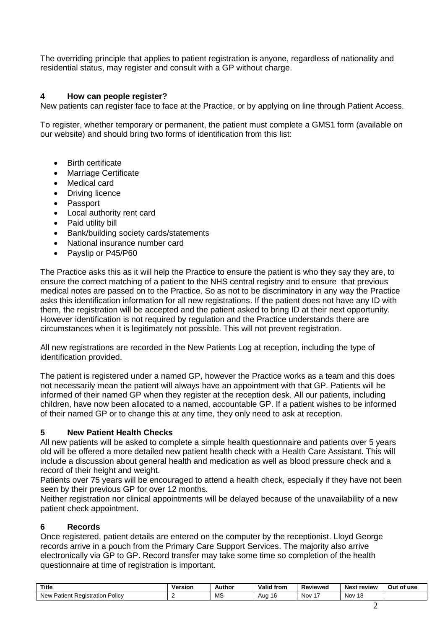The overriding principle that applies to patient registration is anyone, regardless of nationality and residential status, may register and consult with a GP without charge.

### **4 How can people register?**

New patients can register face to face at the Practice, or by applying on line through Patient Access.

To register, whether temporary or permanent, the patient must complete a GMS1 form (available on our website) and should bring two forms of identification from this list:

- Birth certificate
- Marriage Certificate
- Medical card
- Driving licence
- Passport
- Local authority rent card
- Paid utility bill
- Bank/building society cards/statements
- National insurance number card
- Payslip or P45/P60

The Practice asks this as it will help the Practice to ensure the patient is who they say they are, to ensure the correct matching of a patient to the NHS central registry and to ensure that previous medical notes are passed on to the Practice. So as not to be discriminatory in any way the Practice asks this identification information for all new registrations. If the patient does not have any ID with them, the registration will be accepted and the patient asked to bring ID at their next opportunity. However identification is not required by regulation and the Practice understands there are circumstances when it is legitimately not possible. This will not prevent registration.

All new registrations are recorded in the New Patients Log at reception, including the type of identification provided.

The patient is registered under a named GP, however the Practice works as a team and this does not necessarily mean the patient will always have an appointment with that GP. Patients will be informed of their named GP when they register at the reception desk. All our patients, including children, have now been allocated to a named, accountable GP. If a patient wishes to be informed of their named GP or to change this at any time, they only need to ask at reception.

#### **5 New Patient Health Checks**

All new patients will be asked to complete a simple health questionnaire and patients over 5 years old will be offered a more detailed new patient health check with a Health Care Assistant. This will include a discussion about general health and medication as well as blood pressure check and a record of their height and weight.

Patients over 75 years will be encouraged to attend a health check, especially if they have not been seen by their previous GP for over 12 months.

Neither registration nor clinical appointments will be delayed because of the unavailability of a new patient check appointment.

#### **6 Records**

Once registered, patient details are entered on the computer by the receptionist. Lloyd George records arrive in a pouch from the Primary Care Support Services. The majority also arrive electronically via GP to GP. Record transfer may take some time so completion of the health questionnaire at time of registration is important.

| <b>Title</b>                                              | Version<br>____ | Author       | <b>Valid from</b> | Reviewed | Next<br>review      | Out<br>of use |
|-----------------------------------------------------------|-----------------|--------------|-------------------|----------|---------------------|---------------|
| Doliov<br><b>New</b><br>Patient⊹<br>Registration<br>UIIUV |                 | МS<br>$\sim$ | 1 t<br>Auo        | Nov      | 18<br>Nov<br>$\sim$ |               |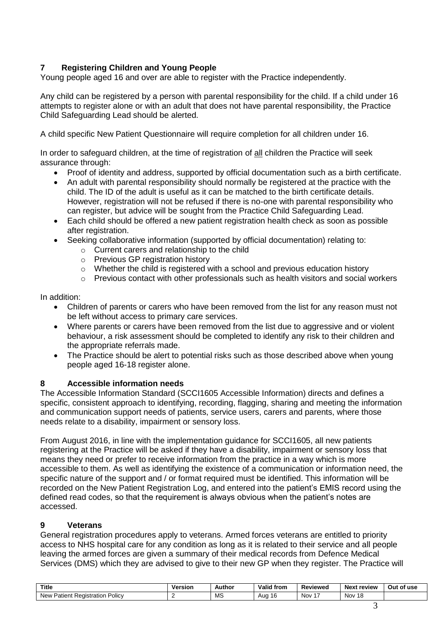## **7 Registering Children and Young People**

Young people aged 16 and over are able to register with the Practice independently.

Any child can be registered by a person with parental responsibility for the child. If a child under 16 attempts to register alone or with an adult that does not have parental responsibility, the Practice Child Safeguarding Lead should be alerted.

A child specific New Patient Questionnaire will require completion for all children under 16.

In order to safeguard children, at the time of registration of all children the Practice will seek assurance through:

- Proof of identity and address, supported by official documentation such as a birth certificate.
- An adult with parental responsibility should normally be registered at the practice with the child. The ID of the adult is useful as it can be matched to the birth certificate details. However, registration will not be refused if there is no-one with parental responsibility who can register, but advice will be sought from the Practice Child Safeguarding Lead.
- Each child should be offered a new patient registration health check as soon as possible after registration.
- Seeking collaborative information (supported by official documentation) relating to:
	- o Current carers and relationship to the child
	- o Previous GP registration history
	- o Whether the child is registered with a school and previous education history
	- $\circ$  Previous contact with other professionals such as health visitors and social workers

In addition:

- Children of parents or carers who have been removed from the list for any reason must not be left without access to primary care services.
- Where parents or carers have been removed from the list due to aggressive and or violent behaviour, a risk assessment should be completed to identify any risk to their children and the appropriate referrals made.
- The Practice should be alert to potential risks such as those described above when young people aged 16-18 register alone.

#### **8 Accessible information needs**

The Accessible Information Standard (SCCI1605 Accessible Information) directs and defines a specific, consistent approach to identifying, recording, flagging, sharing and meeting the information and communication support needs of patients, service users, carers and parents, where those needs relate to a disability, impairment or sensory loss.

From August 2016, in line with the implementation guidance for SCCI1605, all new patients registering at the Practice will be asked if they have a disability, impairment or sensory loss that means they need or prefer to receive information from the practice in a way which is more accessible to them. As well as identifying the existence of a communication or information need, the specific nature of the support and / or format required must be identified. This information will be recorded on the New Patient Registration Log, and entered into the patient's EMIS record using the defined read codes, so that the requirement is always obvious when the patient's notes are accessed.

## **9 Veterans**

General registration procedures apply to veterans. Armed forces veterans are entitled to priority access to NHS hospital care for any condition as long as it is related to their service and all people leaving the armed forces are given a summary of their medical records from Defence Medical Services (DMS) which they are advised to give to their new GP when they register. The Practice will

| <b>Title</b><br>$\sim$ $\sim$                                | Version<br>. | Author       | √ Valid<br>from | Reviewed | <b>Next</b><br>review | Out<br>of use |
|--------------------------------------------------------------|--------------|--------------|-----------------|----------|-----------------------|---------------|
| -<br>، ۱٬۵۱۰ (۱٬<br>New<br>Registration<br>Patient⊹<br>∪⊪∪ ″ |              | МS<br>$\sim$ | 1 t<br>Auc      | Nov      | Nov<br>18<br>$\sim$   |               |